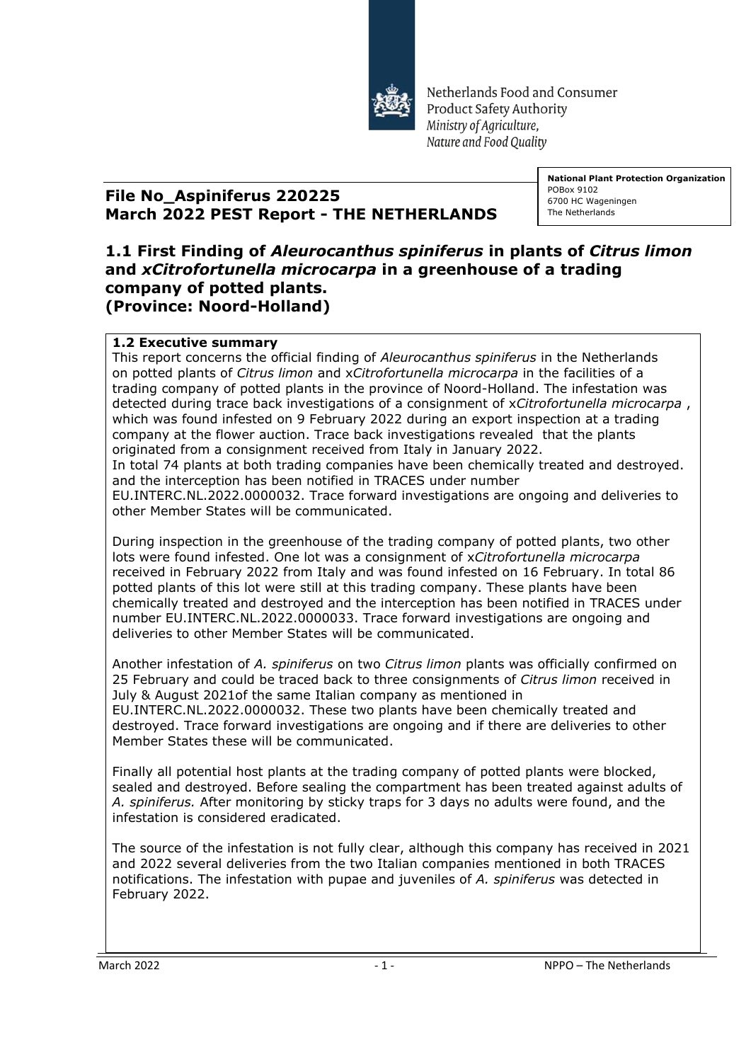

Netherlands Food and Consumer **Product Safety Authority** Ministry of Agriculture, Nature and Food Ouality

## **File No\_Aspiniferus 220225 March 2022 PEST Report - THE NETHERLANDS**

**National Plant Protection Organization** POBox 9102 6700 HC Wageningen The Netherlands

## **1.1 First Finding of** *Aleurocanthus spiniferus* **in plants of** *Citrus limon*  **and** *xCitrofortunella microcarpa* **in a greenhouse of a trading company of potted plants. (Province: Noord-Holland)**

## **1.2 Executive summary**

This report concerns the official finding of *Aleurocanthus spiniferus* in the Netherlands on potted plants of *Citrus limon* and x*Citrofortunella microcarpa* in the facilities of a trading company of potted plants in the province of Noord-Holland. The infestation was detected during trace back investigations of a consignment of x*Citrofortunella microcarpa* , which was found infested on 9 February 2022 during an export inspection at a trading company at the flower auction. Trace back investigations revealed that the plants originated from a consignment received from Italy in January 2022. In total 74 plants at both trading companies have been chemically treated and destroyed. and the interception has been notified in TRACES under number

EU.INTERC.NL.2022.0000032. Trace forward investigations are ongoing and deliveries to other Member States will be communicated.

During inspection in the greenhouse of the trading company of potted plants, two other lots were found infested. One lot was a consignment of x*Citrofortunella microcarpa*  received in February 2022 from Italy and was found infested on 16 February. In total 86 potted plants of this lot were still at this trading company. These plants have been chemically treated and destroyed and the interception has been notified in TRACES under number EU.INTERC.NL.2022.0000033. Trace forward investigations are ongoing and deliveries to other Member States will be communicated.

Another infestation of *A. spiniferus* on two *Citrus limon* plants was officially confirmed on 25 February and could be traced back to three consignments of *Citrus limon* received in July & August 2021of the same Italian company as mentioned in EU.INTERC.NL.2022.0000032. These two plants have been chemically treated and destroyed. Trace forward investigations are ongoing and if there are deliveries to other Member States these will be communicated.

Finally all potential host plants at the trading company of potted plants were blocked, sealed and destroyed. Before sealing the compartment has been treated against adults of *A. spiniferus.* After monitoring by sticky traps for 3 days no adults were found, and the infestation is considered eradicated.

The source of the infestation is not fully clear, although this company has received in 2021 and 2022 several deliveries from the two Italian companies mentioned in both TRACES notifications. The infestation with pupae and juveniles of *A. spiniferus* was detected in February 2022.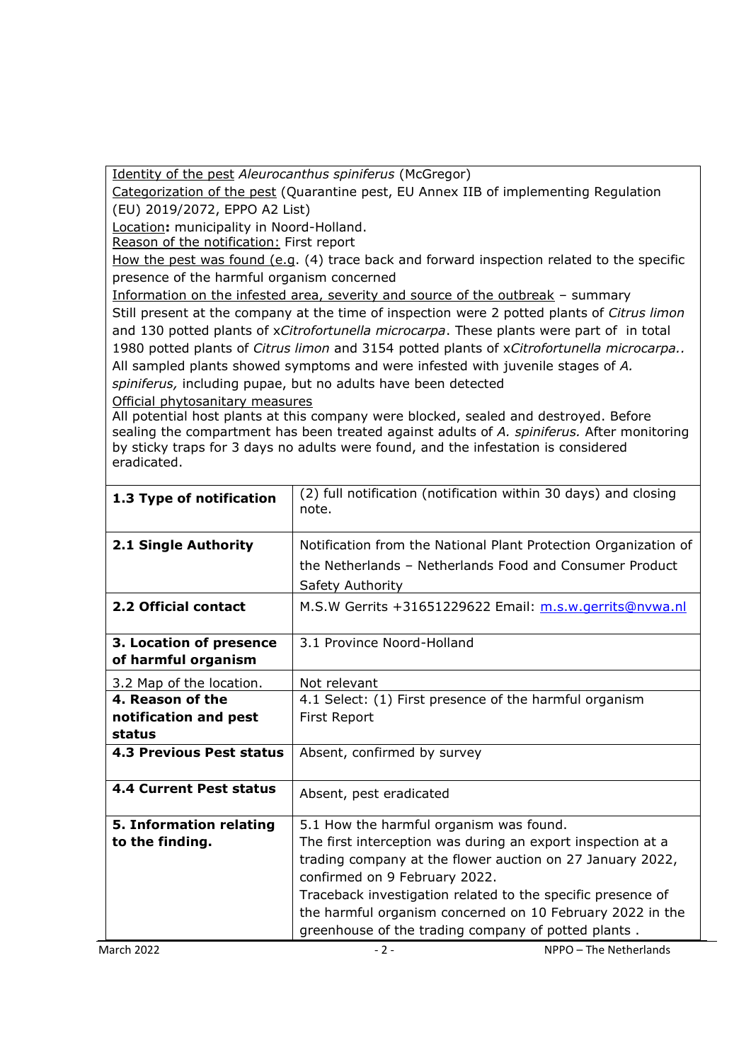Identity of the pest *Aleurocanthus spiniferus* (McGregor)

Categorization of the pest (Quarantine pest, EU Annex IIB of implementing Regulation (EU) 2019/2072, EPPO A2 List)

Location**:** municipality in Noord-Holland.

Reason of the notification: First report

How the pest was found (e.g. (4) trace back and forward inspection related to the specific presence of the harmful organism concerned

Information on the infested area, severity and source of the outbreak – summary Still present at the company at the time of inspection were 2 potted plants of *Citrus limon*  and 130 potted plants of x*Citrofortunella microcarpa*. These plants were part of in total 1980 potted plants of *Citrus limon* and 3154 potted plants of x*Citrofortunella microcarpa..* All sampled plants showed symptoms and were infested with juvenile stages of *A. spiniferus,* including pupae, but no adults have been detected

Official phytosanitary measures

All potential host plants at this company were blocked, sealed and destroyed. Before sealing the compartment has been treated against adults of *A. spiniferus.* After monitoring by sticky traps for 3 days no adults were found, and the infestation is considered eradicated.

| 1.3 Type of notification                       | (2) full notification (notification within 30 days) and closing<br>note.    |
|------------------------------------------------|-----------------------------------------------------------------------------|
| 2.1 Single Authority                           | Notification from the National Plant Protection Organization of             |
|                                                | the Netherlands - Netherlands Food and Consumer Product<br>Safety Authority |
| 2.2 Official contact                           | M.S.W Gerrits +31651229622 Email: m.s.w.gerrits@nvwa.nl                     |
| 3. Location of presence<br>of harmful organism | 3.1 Province Noord-Holland                                                  |
| 3.2 Map of the location.                       | Not relevant                                                                |
| 4. Reason of the                               | 4.1 Select: (1) First presence of the harmful organism                      |
| notification and pest                          | First Report                                                                |
| status                                         |                                                                             |
| <b>4.3 Previous Pest status</b>                | Absent, confirmed by survey                                                 |
| <b>4.4 Current Pest status</b>                 | Absent, pest eradicated                                                     |
| 5. Information relating                        | 5.1 How the harmful organism was found.                                     |
| to the finding.                                | The first interception was during an export inspection at a                 |
|                                                | trading company at the flower auction on 27 January 2022,                   |
|                                                | confirmed on 9 February 2022.                                               |
|                                                | Traceback investigation related to the specific presence of                 |
|                                                | the harmful organism concerned on 10 February 2022 in the                   |
|                                                | greenhouse of the trading company of potted plants.                         |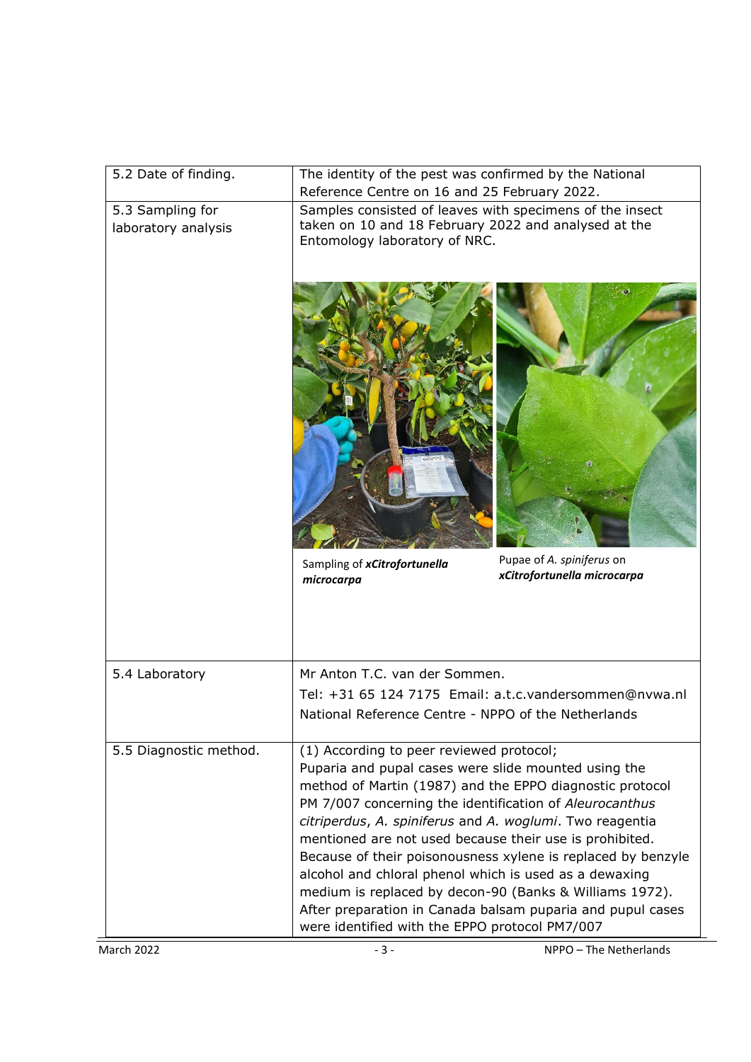| 5.2 Date of finding.                    | The identity of the pest was confirmed by the National<br>Reference Centre on 16 and 25 February 2022.                                                                                                                                                                                                                                                                                                                                                                                                                                                                                                                                              |
|-----------------------------------------|-----------------------------------------------------------------------------------------------------------------------------------------------------------------------------------------------------------------------------------------------------------------------------------------------------------------------------------------------------------------------------------------------------------------------------------------------------------------------------------------------------------------------------------------------------------------------------------------------------------------------------------------------------|
| 5.3 Sampling for<br>laboratory analysis | Samples consisted of leaves with specimens of the insect<br>taken on 10 and 18 February 2022 and analysed at the<br>Entomology laboratory of NRC.                                                                                                                                                                                                                                                                                                                                                                                                                                                                                                   |
|                                         |                                                                                                                                                                                                                                                                                                                                                                                                                                                                                                                                                                                                                                                     |
|                                         | Pupae of A. spiniferus on<br>Sampling of xCitrofortunella<br>xCitrofortunella microcarpa<br>microcarpa                                                                                                                                                                                                                                                                                                                                                                                                                                                                                                                                              |
| 5.4 Laboratory                          | Mr Anton T.C. van der Sommen.                                                                                                                                                                                                                                                                                                                                                                                                                                                                                                                                                                                                                       |
|                                         | Tel: +31 65 124 7175 Email: a.t.c.vandersommen@nvwa.nl<br>National Reference Centre - NPPO of the Netherlands                                                                                                                                                                                                                                                                                                                                                                                                                                                                                                                                       |
| 5.5 Diagnostic method.                  | (1) According to peer reviewed protocol;<br>Puparia and pupal cases were slide mounted using the<br>method of Martin (1987) and the EPPO diagnostic protocol<br>PM 7/007 concerning the identification of Aleurocanthus<br>citriperdus, A. spiniferus and A. woglumi. Two reagentia<br>mentioned are not used because their use is prohibited.<br>Because of their poisonousness xylene is replaced by benzyle<br>alcohol and chloral phenol which is used as a dewaxing<br>medium is replaced by decon-90 (Banks & Williams 1972).<br>After preparation in Canada balsam puparia and pupul cases<br>were identified with the EPPO protocol PM7/007 |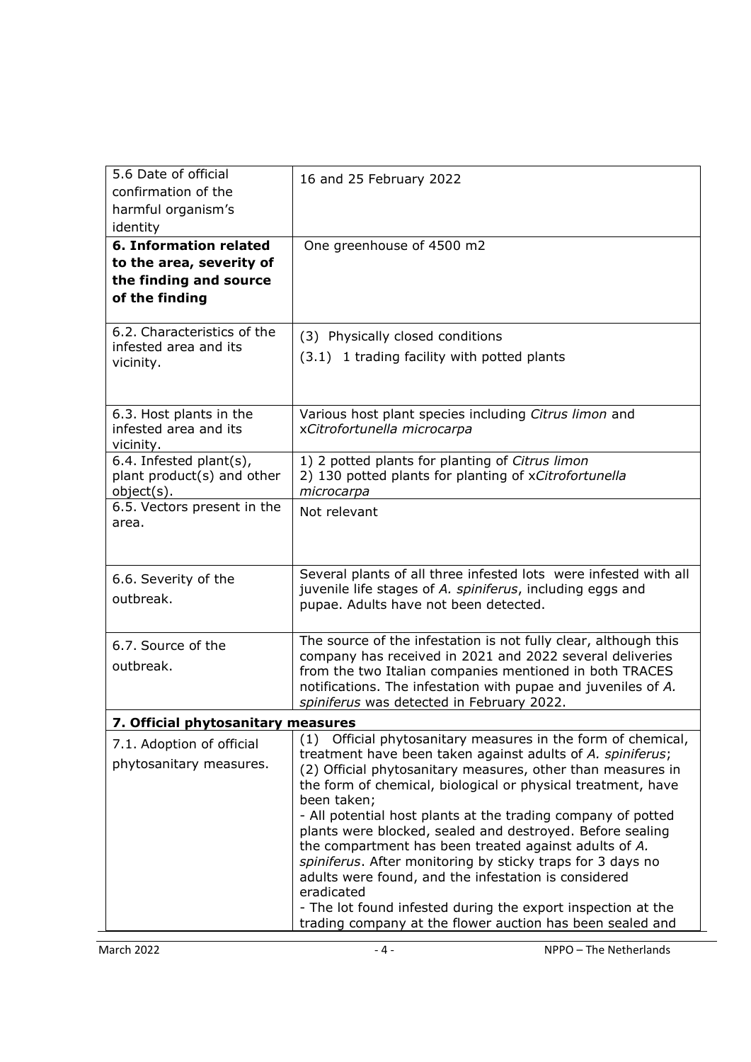| 5.6 Date of official<br>confirmation of the | 16 and 25 February 2022                                                                                                   |
|---------------------------------------------|---------------------------------------------------------------------------------------------------------------------------|
| harmful organism's                          |                                                                                                                           |
| identity                                    |                                                                                                                           |
| <b>6. Information related</b>               | One greenhouse of 4500 m2                                                                                                 |
| to the area, severity of                    |                                                                                                                           |
| the finding and source                      |                                                                                                                           |
| of the finding                              |                                                                                                                           |
| 6.2. Characteristics of the                 | (3) Physically closed conditions                                                                                          |
| infested area and its                       | (3.1) 1 trading facility with potted plants                                                                               |
| vicinity.                                   |                                                                                                                           |
|                                             |                                                                                                                           |
| 6.3. Host plants in the                     | Various host plant species including Citrus limon and                                                                     |
| infested area and its                       | xCitrofortunella microcarpa                                                                                               |
| vicinity.<br>6.4. Infested plant(s),        | 1) 2 potted plants for planting of Citrus limon                                                                           |
| plant product(s) and other                  | 2) 130 potted plants for planting of xCitrofortunella                                                                     |
| object(s).                                  | microcarpa                                                                                                                |
| 6.5. Vectors present in the<br>area.        | Not relevant                                                                                                              |
|                                             |                                                                                                                           |
|                                             |                                                                                                                           |
| 6.6. Severity of the                        | Several plants of all three infested lots were infested with all                                                          |
| outbreak.                                   | juvenile life stages of A. spiniferus, including eggs and<br>pupae. Adults have not been detected.                        |
|                                             |                                                                                                                           |
| 6.7. Source of the                          | The source of the infestation is not fully clear, although this                                                           |
| outbreak.                                   | company has received in 2021 and 2022 several deliveries                                                                  |
|                                             | from the two Italian companies mentioned in both TRACES<br>notifications. The infestation with pupae and juveniles of A.  |
|                                             | spiniferus was detected in February 2022.                                                                                 |
| 7. Official phytosanitary measures          |                                                                                                                           |
| 7.1. Adoption of official                   | (1) Official phytosanitary measures in the form of chemical,                                                              |
| phytosanitary measures.                     | treatment have been taken against adults of A. spiniferus;<br>(2) Official phytosanitary measures, other than measures in |
|                                             | the form of chemical, biological or physical treatment, have                                                              |
|                                             | been taken;                                                                                                               |
|                                             | - All potential host plants at the trading company of potted<br>plants were blocked, sealed and destroyed. Before sealing |
|                                             | the compartment has been treated against adults of A.                                                                     |
|                                             | spiniferus. After monitoring by sticky traps for 3 days no                                                                |
|                                             | adults were found, and the infestation is considered<br>eradicated                                                        |
|                                             | - The lot found infested during the export inspection at the                                                              |
|                                             | trading company at the flower auction has been sealed and                                                                 |